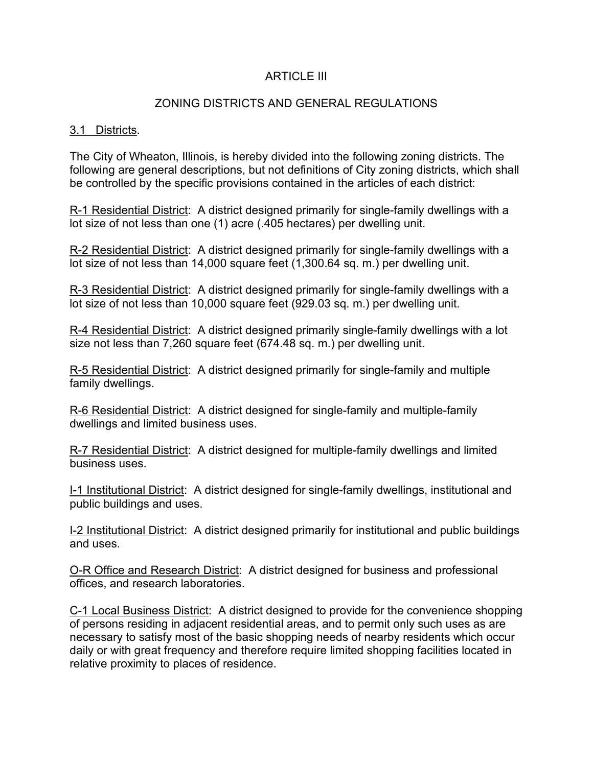## ARTICLE III

## ZONING DISTRICTS AND GENERAL REGULATIONS

#### 3.1 Districts.

The City of Wheaton, Illinois, is hereby divided into the following zoning districts. The following are general descriptions, but not definitions of City zoning districts, which shall be controlled by the specific provisions contained in the articles of each district:

R-1 Residential District: A district designed primarily for single-family dwellings with a lot size of not less than one (1) acre (.405 hectares) per dwelling unit.

R-2 Residential District: A district designed primarily for single-family dwellings with a lot size of not less than 14,000 square feet (1,300.64 sq. m.) per dwelling unit.

R-3 Residential District: A district designed primarily for single-family dwellings with a lot size of not less than 10,000 square feet (929.03 sq. m.) per dwelling unit.

R-4 Residential District: A district designed primarily single-family dwellings with a lot size not less than 7,260 square feet (674.48 sq. m.) per dwelling unit.

R-5 Residential District: A district designed primarily for single-family and multiple family dwellings.

R-6 Residential District: A district designed for single-family and multiple-family dwellings and limited business uses.

R-7 Residential District: A district designed for multiple-family dwellings and limited business uses.

I-1 Institutional District: A district designed for single-family dwellings, institutional and public buildings and uses.

I-2 Institutional District: A district designed primarily for institutional and public buildings and uses.

O-R Office and Research District: A district designed for business and professional offices, and research laboratories.

C-1 Local Business District: A district designed to provide for the convenience shopping of persons residing in adjacent residential areas, and to permit only such uses as are necessary to satisfy most of the basic shopping needs of nearby residents which occur daily or with great frequency and therefore require limited shopping facilities located in relative proximity to places of residence.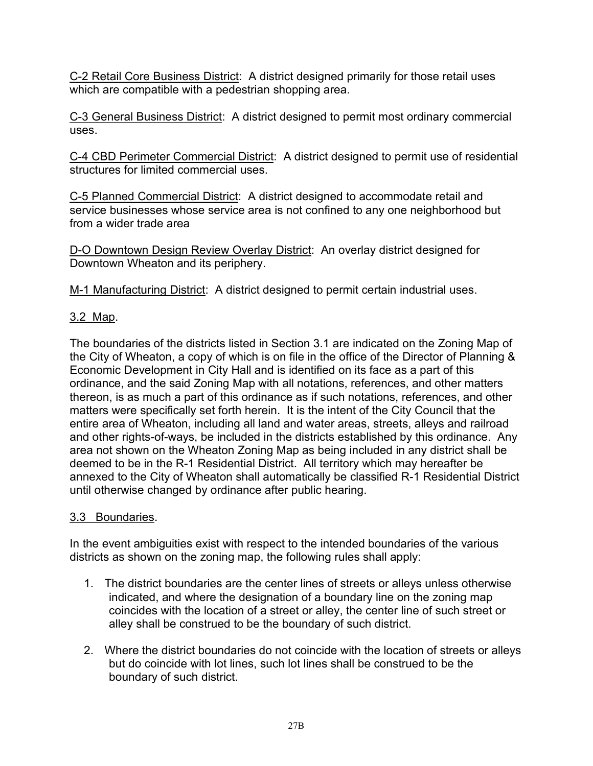C-2 Retail Core Business District: A district designed primarily for those retail uses which are compatible with a pedestrian shopping area.

C-3 General Business District: A district designed to permit most ordinary commercial uses.

C-4 CBD Perimeter Commercial District: A district designed to permit use of residential structures for limited commercial uses.

C-5 Planned Commercial District: A district designed to accommodate retail and service businesses whose service area is not confined to any one neighborhood but from a wider trade area

D-O Downtown Design Review Overlay District: An overlay district designed for Downtown Wheaton and its periphery.

M-1 Manufacturing District: A district designed to permit certain industrial uses.

# 3.2 Map.

The boundaries of the districts listed in Section 3.1 are indicated on the Zoning Map of the City of Wheaton, a copy of which is on file in the office of the Director of Planning & Economic Development in City Hall and is identified on its face as a part of this ordinance, and the said Zoning Map with all notations, references, and other matters thereon, is as much a part of this ordinance as if such notations, references, and other matters were specifically set forth herein. It is the intent of the City Council that the entire area of Wheaton, including all land and water areas, streets, alleys and railroad and other rights-of-ways, be included in the districts established by this ordinance. Any area not shown on the Wheaton Zoning Map as being included in any district shall be deemed to be in the R-1 Residential District. All territory which may hereafter be annexed to the City of Wheaton shall automatically be classified R-1 Residential District until otherwise changed by ordinance after public hearing.

## 3.3 Boundaries.

In the event ambiguities exist with respect to the intended boundaries of the various districts as shown on the zoning map, the following rules shall apply:

- 1. The district boundaries are the center lines of streets or alleys unless otherwise indicated, and where the designation of a boundary line on the zoning map coincides with the location of a street or alley, the center line of such street or alley shall be construed to be the boundary of such district.
- 2. Where the district boundaries do not coincide with the location of streets or alleys but do coincide with lot lines, such lot lines shall be construed to be the boundary of such district.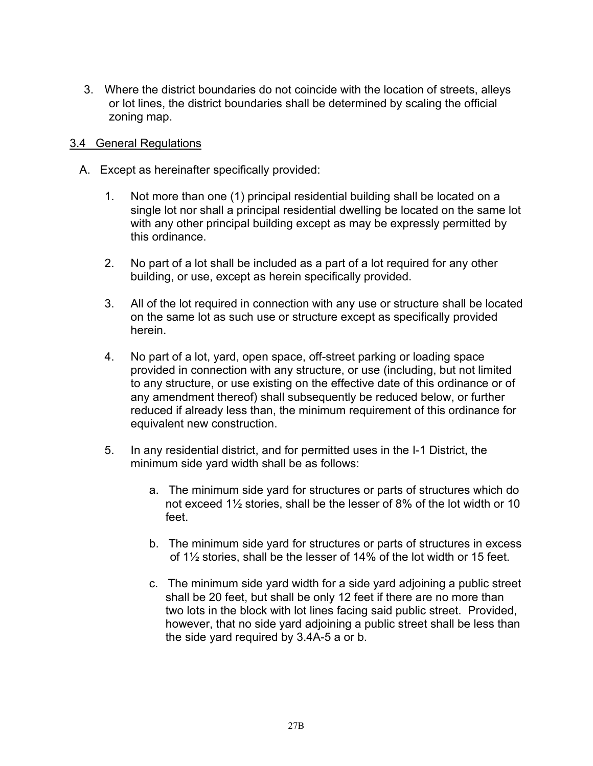3. Where the district boundaries do not coincide with the location of streets, alleys or lot lines, the district boundaries shall be determined by scaling the official zoning map.

### 3.4 General Regulations

- A. Except as hereinafter specifically provided:
	- 1. Not more than one (1) principal residential building shall be located on a single lot nor shall a principal residential dwelling be located on the same lot with any other principal building except as may be expressly permitted by this ordinance.
	- 2. No part of a lot shall be included as a part of a lot required for any other building, or use, except as herein specifically provided.
	- 3. All of the lot required in connection with any use or structure shall be located on the same lot as such use or structure except as specifically provided herein.
	- 4. No part of a lot, yard, open space, off-street parking or loading space provided in connection with any structure, or use (including, but not limited to any structure, or use existing on the effective date of this ordinance or of any amendment thereof) shall subsequently be reduced below, or further reduced if already less than, the minimum requirement of this ordinance for equivalent new construction.
	- 5. In any residential district, and for permitted uses in the I-1 District, the minimum side yard width shall be as follows:
		- a. The minimum side yard for structures or parts of structures which do not exceed 1½ stories, shall be the lesser of 8% of the lot width or 10 feet.
		- b. The minimum side yard for structures or parts of structures in excess of 1½ stories, shall be the lesser of 14% of the lot width or 15 feet.
		- c. The minimum side yard width for a side yard adjoining a public street shall be 20 feet, but shall be only 12 feet if there are no more than two lots in the block with lot lines facing said public street. Provided, however, that no side yard adjoining a public street shall be less than the side yard required by 3.4A-5 a or b.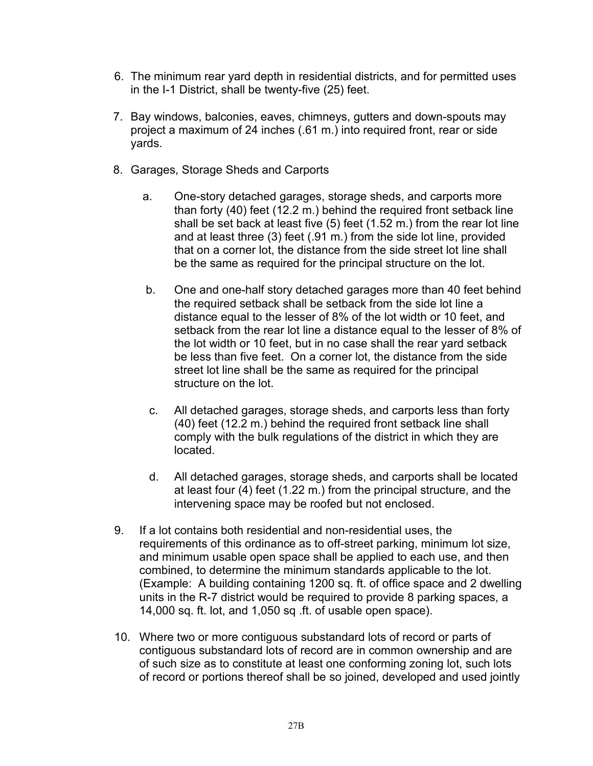- 6. The minimum rear yard depth in residential districts, and for permitted uses in the I-1 District, shall be twenty-five (25) feet.
- 7. Bay windows, balconies, eaves, chimneys, gutters and down-spouts may project a maximum of 24 inches (.61 m.) into required front, rear or side yards.
- 8. Garages, Storage Sheds and Carports
	- a. One-story detached garages, storage sheds, and carports more than forty (40) feet (12.2 m.) behind the required front setback line shall be set back at least five (5) feet (1.52 m.) from the rear lot line and at least three (3) feet (.91 m.) from the side lot line, provided that on a corner lot, the distance from the side street lot line shall be the same as required for the principal structure on the lot.
	- b. One and one-half story detached garages more than 40 feet behind the required setback shall be setback from the side lot line a distance equal to the lesser of 8% of the lot width or 10 feet, and setback from the rear lot line a distance equal to the lesser of 8% of the lot width or 10 feet, but in no case shall the rear yard setback be less than five feet. On a corner lot, the distance from the side street lot line shall be the same as required for the principal structure on the lot.
	- c. All detached garages, storage sheds, and carports less than forty (40) feet (12.2 m.) behind the required front setback line shall comply with the bulk regulations of the district in which they are located.
	- d. All detached garages, storage sheds, and carports shall be located at least four  $(4)$  feet  $(1.22 \text{ m.})$  from the principal structure, and the intervening space may be roofed but not enclosed.
- 9. If a lot contains both residential and non-residential uses, the requirements of this ordinance as to off-street parking, minimum lot size, and minimum usable open space shall be applied to each use, and then combined, to determine the minimum standards applicable to the lot. (Example: A building containing 1200 sq. ft. of office space and 2 dwelling units in the R-7 district would be required to provide 8 parking spaces, a 14,000 sq. ft. lot, and 1,050 sq .ft. of usable open space).
- 10. Where two or more contiguous substandard lots of record or parts of contiguous substandard lots of record are in common ownership and are of such size as to constitute at least one conforming zoning lot, such lots of record or portions thereof shall be so joined, developed and used jointly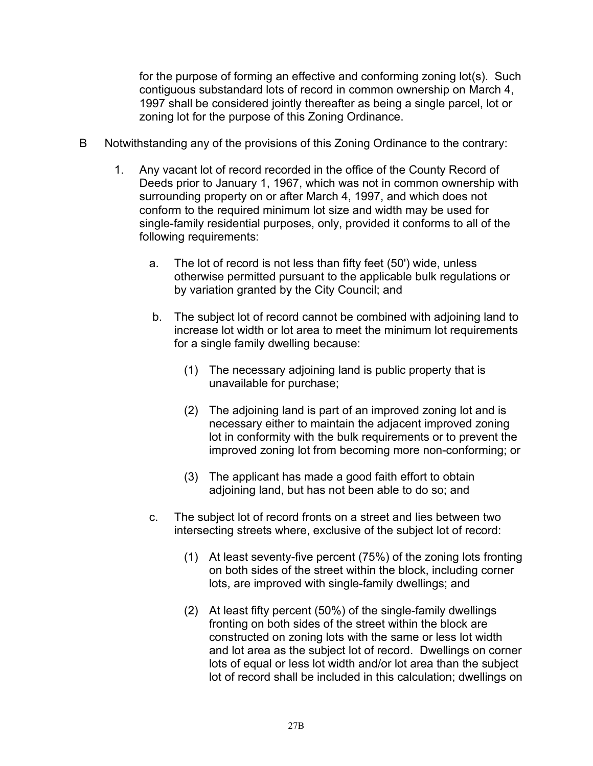for the purpose of forming an effective and conforming zoning lot(s). Such contiguous substandard lots of record in common ownership on March 4, 1997 shall be considered jointly thereafter as being a single parcel, lot or zoning lot for the purpose of this Zoning Ordinance.

- B Notwithstanding any of the provisions of this Zoning Ordinance to the contrary:
	- 1. Any vacant lot of record recorded in the office of the County Record of Deeds prior to January 1, 1967, which was not in common ownership with surrounding property on or after March 4, 1997, and which does not conform to the required minimum lot size and width may be used for single-family residential purposes, only, provided it conforms to all of the following requirements:
		- a. The lot of record is not less than fifty feet (50') wide, unless otherwise permitted pursuant to the applicable bulk regulations or by variation granted by the City Council; and
		- b. The subject lot of record cannot be combined with adjoining land to increase lot width or lot area to meet the minimum lot requirements for a single family dwelling because:
			- (1) The necessary adjoining land is public property that is unavailable for purchase;
			- (2) The adjoining land is part of an improved zoning lot and is necessary either to maintain the adjacent improved zoning lot in conformity with the bulk requirements or to prevent the improved zoning lot from becoming more non-conforming; or
			- (3) The applicant has made a good faith effort to obtain adjoining land, but has not been able to do so; and
		- c. The subject lot of record fronts on a street and lies between two intersecting streets where, exclusive of the subject lot of record:
			- (1) At least seventy-five percent (75%) of the zoning lots fronting on both sides of the street within the block, including corner lots, are improved with single-family dwellings; and
			- (2) At least fifty percent (50%) of the single-family dwellings fronting on both sides of the street within the block are constructed on zoning lots with the same or less lot width and lot area as the subject lot of record. Dwellings on corner lots of equal or less lot width and/or lot area than the subject lot of record shall be included in this calculation; dwellings on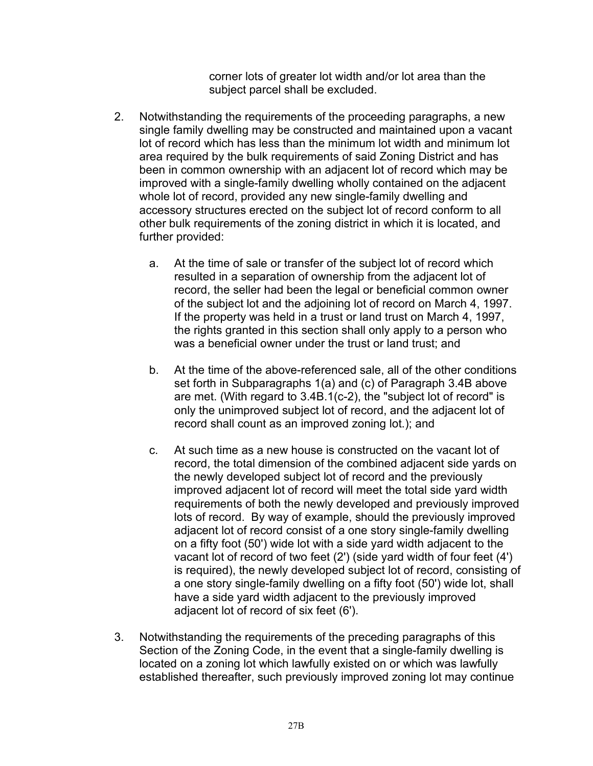corner lots of greater lot width and/or lot area than the subject parcel shall be excluded.

- 2. Notwithstanding the requirements of the proceeding paragraphs, a new single family dwelling may be constructed and maintained upon a vacant lot of record which has less than the minimum lot width and minimum lot area required by the bulk requirements of said Zoning District and has been in common ownership with an adjacent lot of record which may be improved with a single-family dwelling wholly contained on the adjacent whole lot of record, provided any new single-family dwelling and accessory structures erected on the subject lot of record conform to all other bulk requirements of the zoning district in which it is located, and further provided:
	- a. At the time of sale or transfer of the subject lot of record which resulted in a separation of ownership from the adjacent lot of record, the seller had been the legal or beneficial common owner of the subject lot and the adjoining lot of record on March 4, 1997. If the property was held in a trust or land trust on March 4, 1997, the rights granted in this section shall only apply to a person who was a beneficial owner under the trust or land trust; and
	- b. At the time of the above-referenced sale, all of the other conditions set forth in Subparagraphs 1(a) and (c) of Paragraph 3.4B above are met. (With regard to 3.4B.1(c-2), the "subject lot of record" is only the unimproved subject lot of record, and the adjacent lot of record shall count as an improved zoning lot.); and
	- c. At such time as a new house is constructed on the vacant lot of record, the total dimension of the combined adjacent side yards on the newly developed subject lot of record and the previously improved adjacent lot of record will meet the total side yard width requirements of both the newly developed and previously improved lots of record. By way of example, should the previously improved adjacent lot of record consist of a one story single-family dwelling on a fifty foot (50') wide lot with a side yard width adjacent to the vacant lot of record of two feet (2') (side yard width of four feet (4') is required), the newly developed subject lot of record, consisting of a one story single-family dwelling on a fifty foot (50') wide lot, shall have a side yard width adjacent to the previously improved adjacent lot of record of six feet (6').
- 3. Notwithstanding the requirements of the preceding paragraphs of this Section of the Zoning Code, in the event that a single-family dwelling is located on a zoning lot which lawfully existed on or which was lawfully established thereafter, such previously improved zoning lot may continue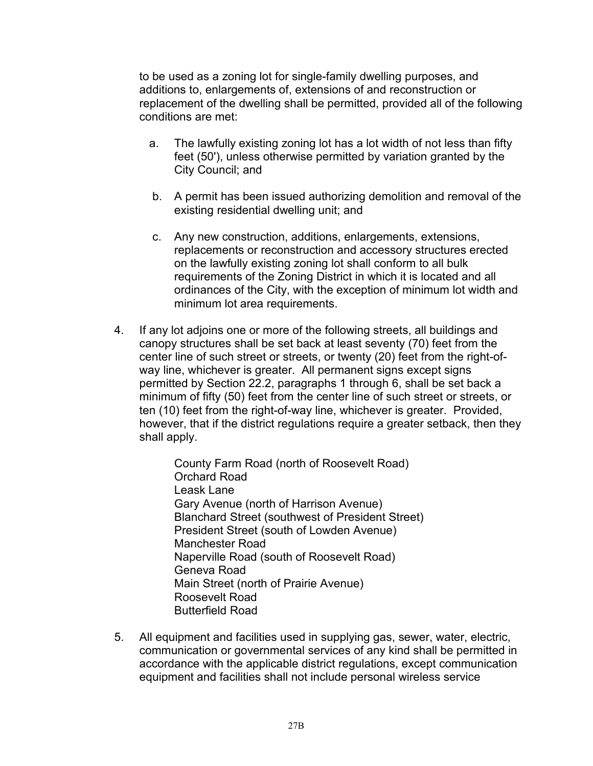to be used as a zoning lot for single-family dwelling purposes, and additions to, enlargements of, extensions of and reconstruction or replacement of the dwelling shall be permitted, provided all of the following conditions are met:

- a. The lawfully existing zoning lot has a lot width of not less than fifty feet (50'), unless otherwise permitted by variation granted by the City Council; and
- b. A permit has been issued authorizing demolition and removal of the existing residential dwelling unit; and
- c. Any new construction, additions, enlargements, extensions, replacements or reconstruction and accessory structures erected on the lawfully existing zoning lot shall conform to all bulk requirements of the Zoning District in which it is located and all ordinances of the City, with the exception of minimum lot width and minimum lot area requirements.
- 4. If any lot adjoins one or more of the following streets, all buildings and canopy structures shall be set back at least seventy (70) feet from the center line of such street or streets, or twenty (20) feet from the right-ofway line, whichever is greater. All permanent signs except signs permitted by Section 22.2, paragraphs 1 through 6, shall be set back a minimum of fifty (50) feet from the center line of such street or streets, or ten (10) feet from the right-of-way line, whichever is greater. Provided, however, that if the district regulations require a greater setback, then they shall apply.

County Farm Road (north of Roosevelt Road) Orchard Road Leask Lane Gary Avenue (north of Harrison Avenue) Blanchard Street (southwest of President Street) President Street (south of Lowden Avenue) Manchester Road Naperville Road (south of Roosevelt Road) Geneva Road Main Street (north of Prairie Avenue) Roosevelt Road Butterfield Road

 5. All equipment and facilities used in supplying gas, sewer, water, electric, communication or governmental services of any kind shall be permitted in accordance with the applicable district regulations, except communication equipment and facilities shall not include personal wireless service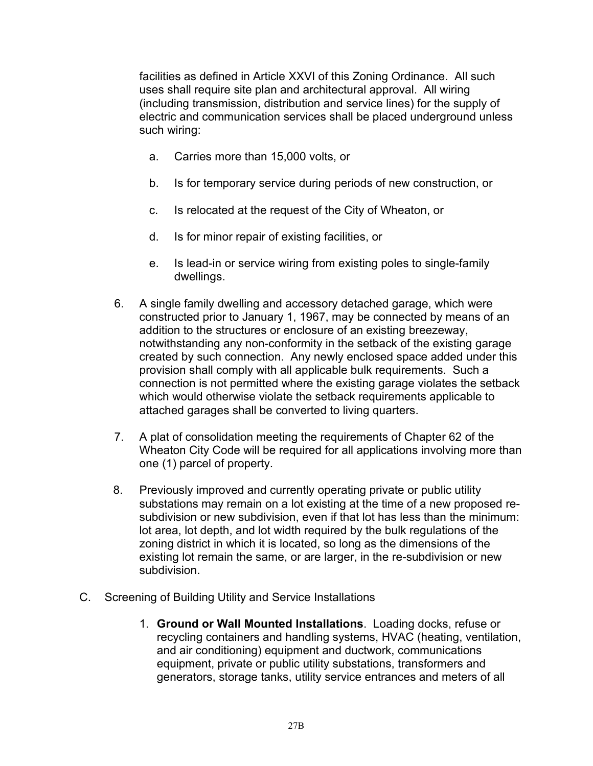facilities as defined in Article XXVI of this Zoning Ordinance. All such uses shall require site plan and architectural approval. All wiring (including transmission, distribution and service lines) for the supply of electric and communication services shall be placed underground unless such wiring:

- a. Carries more than 15,000 volts, or
- b. Is for temporary service during periods of new construction, or
- c. Is relocated at the request of the City of Wheaton, or
- d. Is for minor repair of existing facilities, or
- e. Is lead-in or service wiring from existing poles to single-family dwellings.
- 6. A single family dwelling and accessory detached garage, which were constructed prior to January 1, 1967, may be connected by means of an addition to the structures or enclosure of an existing breezeway, notwithstanding any non-conformity in the setback of the existing garage created by such connection. Any newly enclosed space added under this provision shall comply with all applicable bulk requirements. Such a connection is not permitted where the existing garage violates the setback which would otherwise violate the setback requirements applicable to attached garages shall be converted to living quarters.
- 7. A plat of consolidation meeting the requirements of Chapter 62 of the Wheaton City Code will be required for all applications involving more than one (1) parcel of property.
- 8. Previously improved and currently operating private or public utility substations may remain on a lot existing at the time of a new proposed resubdivision or new subdivision, even if that lot has less than the minimum: lot area, lot depth, and lot width required by the bulk regulations of the zoning district in which it is located, so long as the dimensions of the existing lot remain the same, or are larger, in the re-subdivision or new subdivision.
- C. Screening of Building Utility and Service Installations
	- 1. **Ground or Wall Mounted Installations**. Loading docks, refuse or recycling containers and handling systems, HVAC (heating, ventilation, and air conditioning) equipment and ductwork, communications equipment, private or public utility substations, transformers and generators, storage tanks, utility service entrances and meters of all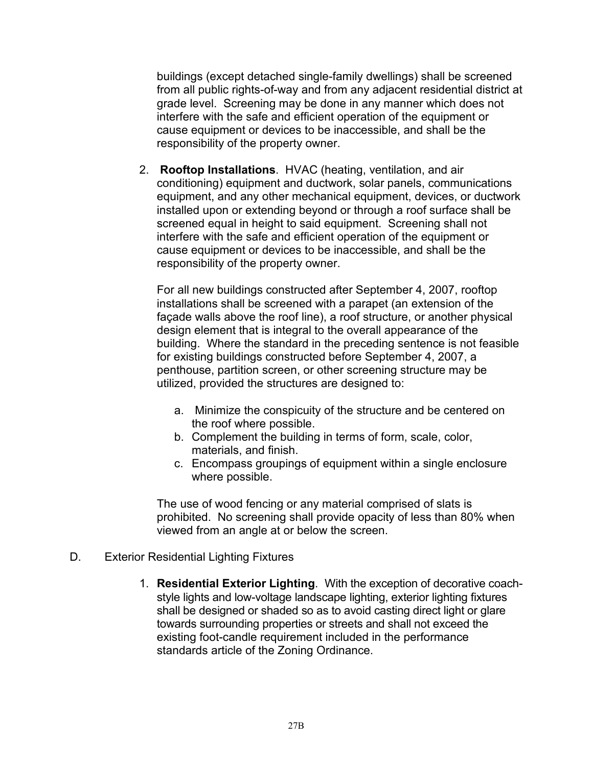buildings (except detached single-family dwellings) shall be screened from all public rights-of-way and from any adjacent residential district at grade level. Screening may be done in any manner which does not interfere with the safe and efficient operation of the equipment or cause equipment or devices to be inaccessible, and shall be the responsibility of the property owner.

2. **Rooftop Installations**. HVAC (heating, ventilation, and air conditioning) equipment and ductwork, solar panels, communications equipment, and any other mechanical equipment, devices, or ductwork installed upon or extending beyond or through a roof surface shall be screened equal in height to said equipment. Screening shall not interfere with the safe and efficient operation of the equipment or cause equipment or devices to be inaccessible, and shall be the responsibility of the property owner.

For all new buildings constructed after September 4, 2007, rooftop installations shall be screened with a parapet (an extension of the façade walls above the roof line), a roof structure, or another physical design element that is integral to the overall appearance of the building. Where the standard in the preceding sentence is not feasible for existing buildings constructed before September 4, 2007, a penthouse, partition screen, or other screening structure may be utilized, provided the structures are designed to:

- a. Minimize the conspicuity of the structure and be centered on the roof where possible.
- b. Complement the building in terms of form, scale, color, materials, and finish.
- c. Encompass groupings of equipment within a single enclosure where possible.

The use of wood fencing or any material comprised of slats is prohibited. No screening shall provide opacity of less than 80% when viewed from an angle at or below the screen.

- D. Exterior Residential Lighting Fixtures
	- 1. **Residential Exterior Lighting**. With the exception of decorative coachstyle lights and low-voltage landscape lighting, exterior lighting fixtures shall be designed or shaded so as to avoid casting direct light or glare towards surrounding properties or streets and shall not exceed the existing foot-candle requirement included in the performance standards article of the Zoning Ordinance.